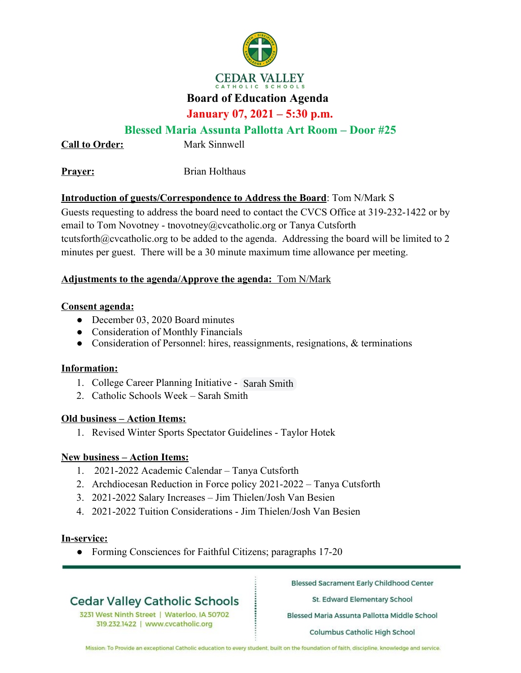

## **CEDAR VALLEY**

## **Board of Education Agenda**

## **January 07, 2021 – 5:30 p.m.**

### **Blessed Maria Assunta Pallotta Art Room – Door #25**

**Call to Order:** Mark Sinnwell

**Prayer:** Brian Holthaus

### **Introduction of guests/Correspondence to Address the Board**: Tom N/Mark S

Guests requesting to address the board need to contact the CVCS Office at 319-232-1422 or by email to Tom Novotney - tnovotney@cvcatholic.org or Tanya Cutsforth tcutsforth@cvcatholic.org to be added to the agenda. Addressing the board will be limited to 2 minutes per guest. There will be a 30 minute maximum time allowance per meeting.

#### **Adjustments to the agenda/Approve the agenda:** Tom N/Mark

#### **Consent agenda:**

- December 03, 2020 Board minutes
- Consideration of Monthly Financials
- Consideration of Personnel: hires, reassignments, resignations, & terminations

#### **Information:**

- 1. College Career Planning Initiative Sarah Smith
- 2. Catholic Schools Week Sarah Smith

#### **Old business – Action Items:**

1. Revised Winter Sports Spectator Guidelines - Taylor Hotek

#### **New business – Action Items:**

- 1. 2021-2022 Academic Calendar Tanya Cutsforth
- 2. Archdiocesan Reduction in Force policy 2021-2022 Tanya Cutsforth
- 3. 2021-2022 Salary Increases Jim Thielen/Josh Van Besien
- 4. 2021-2022 Tuition Considerations Jim Thielen/Josh Van Besien

#### **In-service:**

• Forming Consciences for Faithful Citizens; paragraphs 17-20

# **Cedar Valley Catholic Schools**

3231 West Ninth Street | Waterloo, IA 50702 319.232.1422 | www.cvcatholic.org

**Blessed Sacrament Early Childhood Center** 

St. Edward Elementary School

Blessed Maria Assunta Pallotta Middle School

Columbus Catholic High School

Mission: To Provide an exceptional Catholic education to every student, built on the foundation of faith, discipline, knowledge and service.